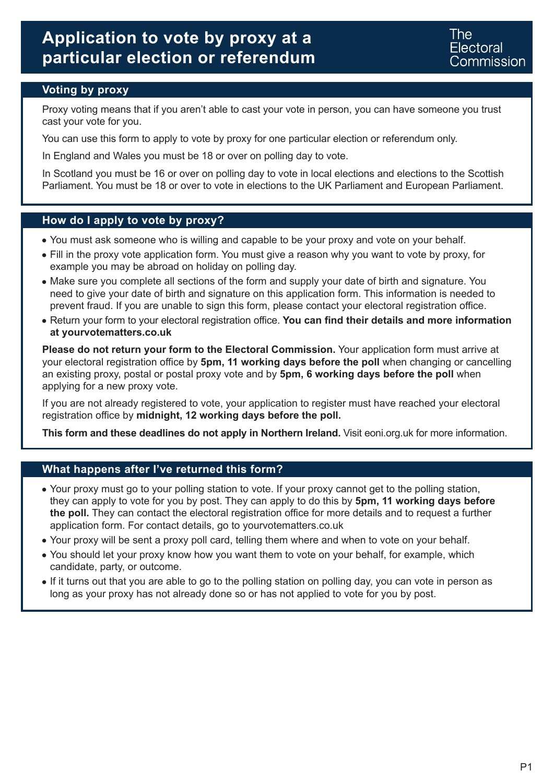# **Application to vote by proxy at a particular election or referendum**

### **Voting by proxy**

Proxy voting means that if you aren't able to cast your vote in person, you can have someone you trust cast your vote for you.

You can use this form to apply to vote by proxy for one particular election or referendum only.

In England and Wales you must be 18 or over on polling day to vote.

In Scotland you must be 16 or over on polling day to vote in local elections and elections to the Scottish Parliament. You must be 18 or over to vote in elections to the UK Parliament and European Parliament.

#### **How do I apply to vote by proxy?**

- You must ask someone who is willing and capable to be your proxy and vote on your behalf.
- Fill in the proxy vote application form. You must give a reason why you want to vote by proxy, for example you may be abroad on holiday on polling day.
- Make sure you complete all sections of the form and supply your date of birth and signature. You need to give your date of birth and signature on this application form. This information is needed to prevent fraud. If you are unable to sign this form, please contact your electoral registration office.
- Return your form to your electoral registration office. **You can find their details and more information at yourvotematters.co.uk**

**Please do not return your form to the Electoral Commission.** Your application form must arrive at your electoral registration office by **5pm, 11 working days before the poll** when changing or cancelling an existing proxy, postal or postal proxy vote and by **5pm, 6 working days before the poll** when applying for a new proxy vote.

If you are not already registered to vote, your application to register must have reached your electoral registration office by **midnight, 12 working days before the poll.**

**This form and these deadlines do not apply in Northern Ireland.** Visit eoni.org.uk for more information.

#### **What happens after I've returned this form?**

- Your proxy must go to your polling station to vote. If your proxy cannot get to the polling station, they can apply to vote for you by post. They can apply to do this by **5pm, 11 working days before the poll.** They can contact the electoral registration office for more details and to request a further application form. For contact details, go to yourvotematters.co.uk
- Your proxy will be sent a proxy poll card, telling them where and when to vote on your behalf.
- You should let your proxy know how you want them to vote on your behalf, for example, which candidate, party, or outcome.
- If it turns out that you are able to go to the polling station on polling day, you can vote in person as long as your proxy has not already done so or has not applied to vote for you by post.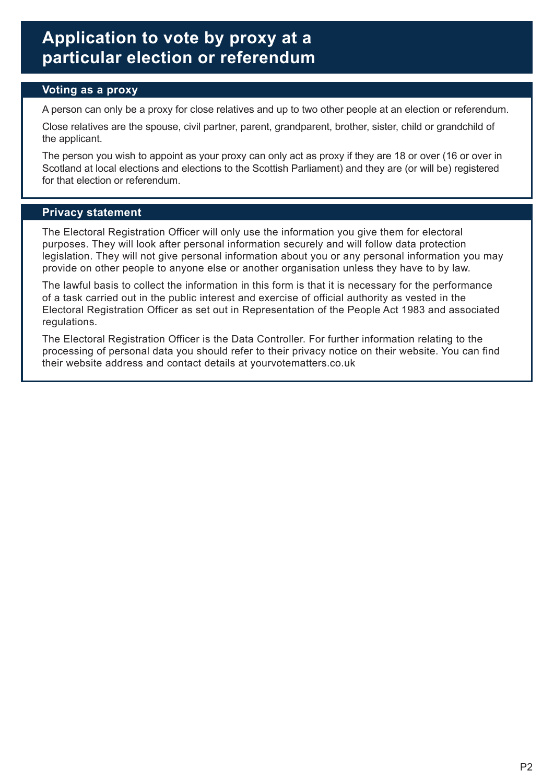# **Application to vote by proxy at a particular election or referendum**

### **Voting as a proxy**

A person can only be a proxy for close relatives and up to two other people at an election or referendum.

Close relatives are the spouse, civil partner, parent, grandparent, brother, sister, child or grandchild of the applicant.

The person you wish to appoint as your proxy can only act as proxy if they are 18 or over (16 or over in Scotland at local elections and elections to the Scottish Parliament) and they are (or will be) registered for that election or referendum.

#### **Privacy statement**

The Electoral Registration Officer will only use the information you give them for electoral purposes. They will look after personal information securely and will follow data protection legislation. They will not give personal information about you or any personal information you may provide on other people to anyone else or another organisation unless they have to by law.

The lawful basis to collect the information in this form is that it is necessary for the performance of a task carried out in the public interest and exercise of official authority as vested in the Electoral Registration Officer as set out in Representation of the People Act 1983 and associated regulations.

The Electoral Registration Officer is the Data Controller. For further information relating to the processing of personal data you should refer to their privacy notice on their website. You can find their website address and contact details at yourvotematters.co.uk